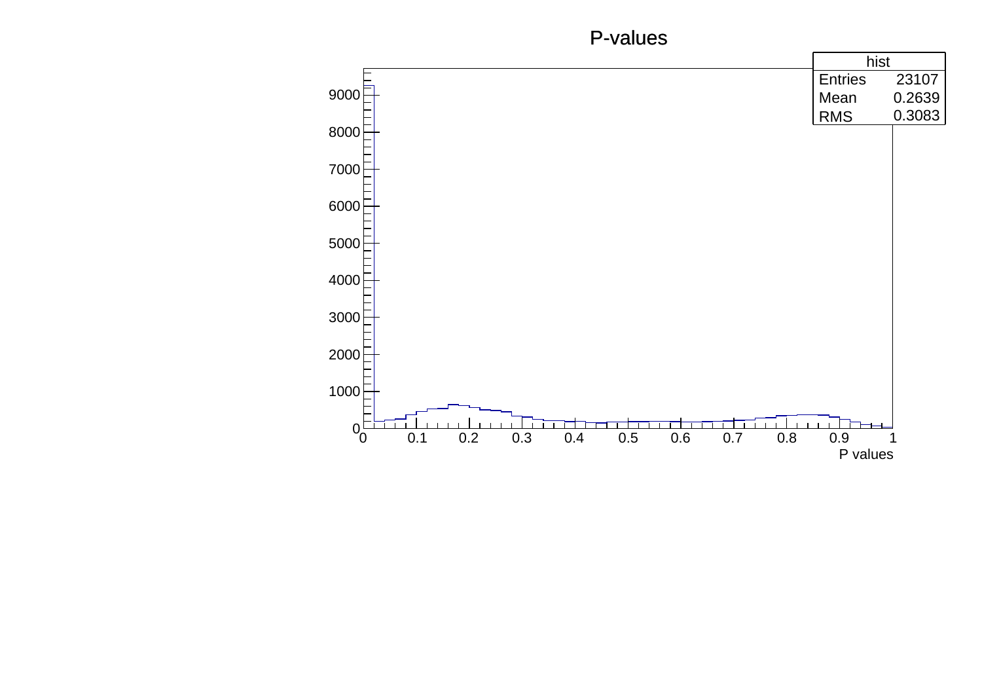## P-values

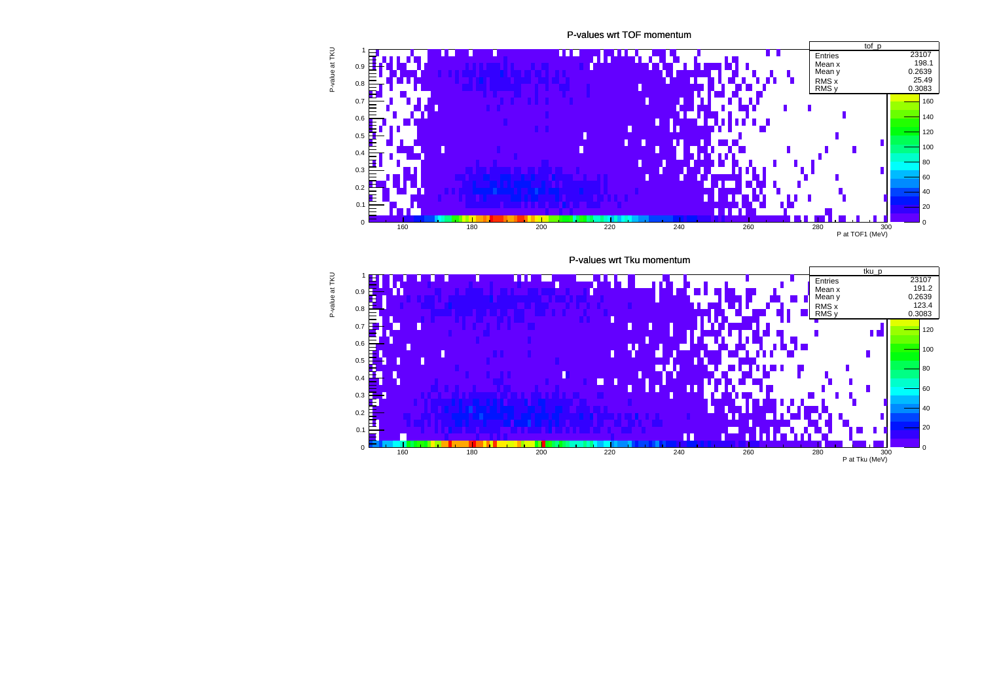P-values wrt TOF momentum



P-values wrt Tku momentum



P-value at TKU P-value at TKU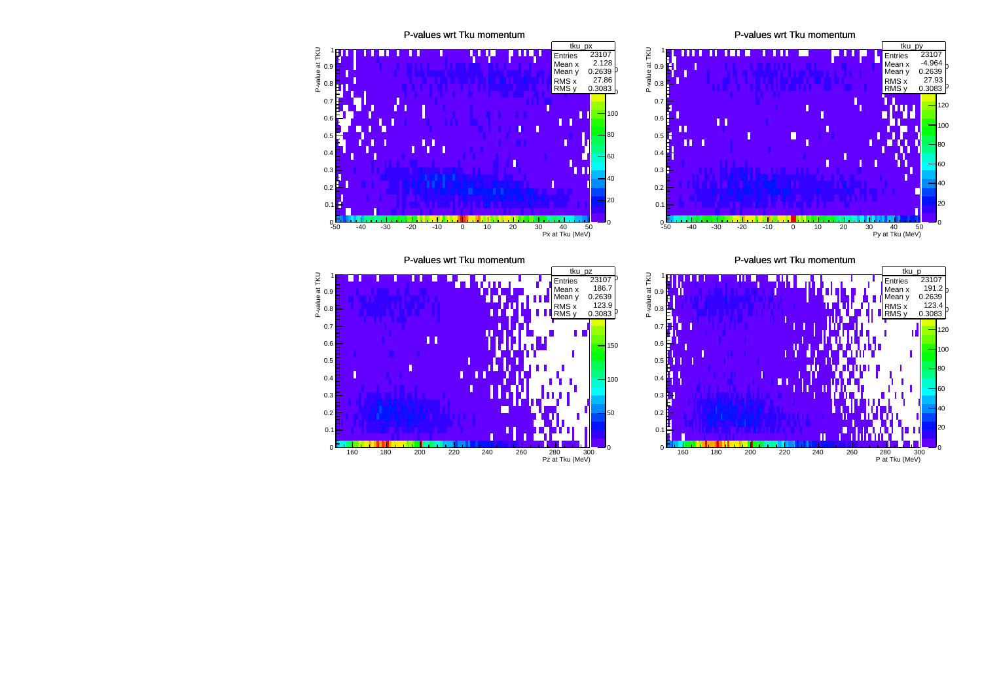

P-values wrt Tku momentum



P-values wrt Tku momentum



P-values wrt Tku momentum

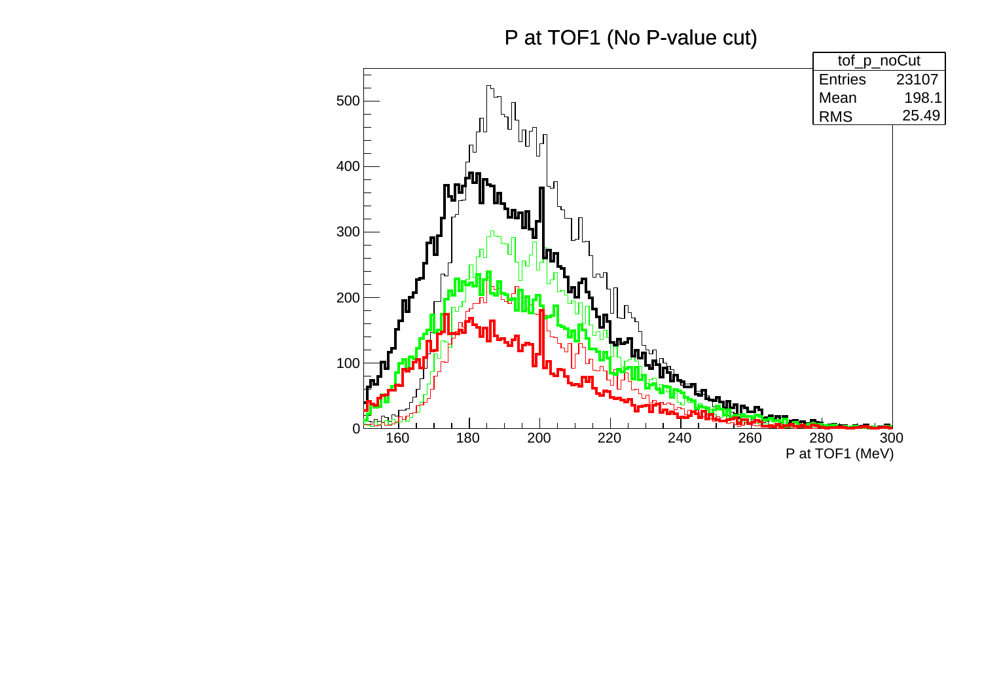P at TOF1 (No P-value cut)

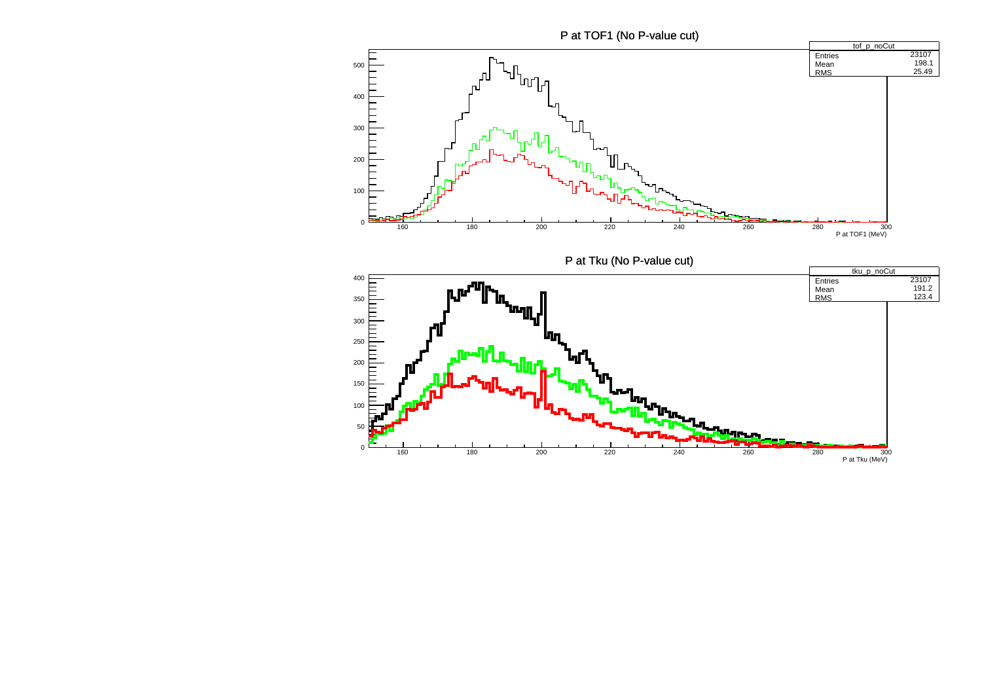P at TOF1 (No P-value cut)

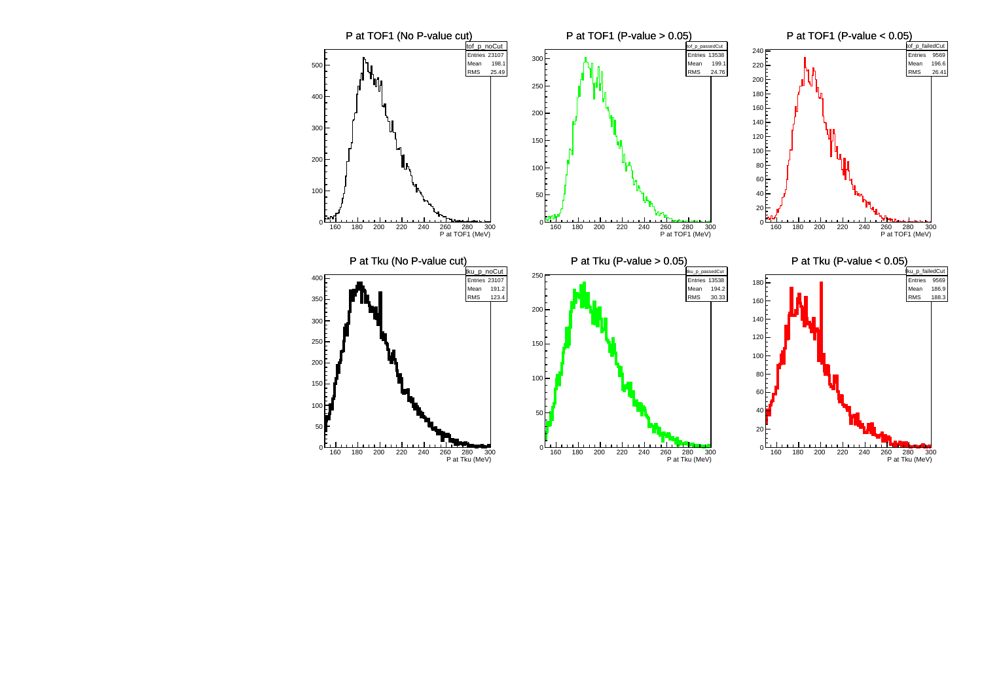